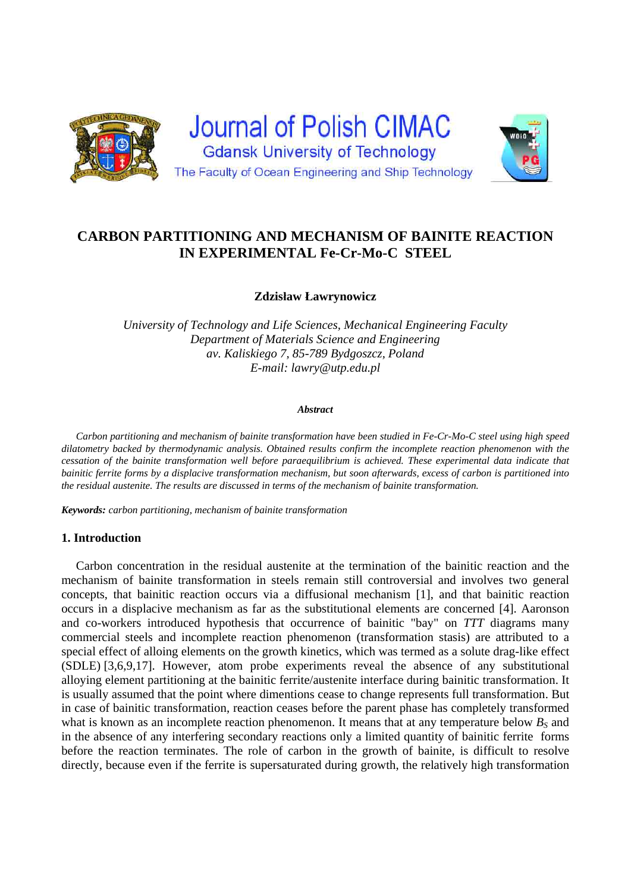

# **CARBON PARTITIONING AND MECHANISM OF BAINITE REACTION IN EXPERIMENTAL Fe-Cr-Mo-C STEEL**

**Zdzisław Ławrynowicz** 

*University of Technology and Life Sciences, Mechanical Engineering Faculty Department of Materials Science and Engineering av. Kaliskiego 7, 85-789 Bydgoszcz, Poland E-mail: lawry@utp.edu.pl* 

#### *Abstract*

*Carbon partitioning and mechanism of bainite transformation have been studied in Fe-Cr-Mo-C steel using high speed dilatometry backed by thermodynamic analysis. Obtained results confirm the incomplete reaction phenomenon with the cessation of the bainite transformation well before paraequilibrium is achieved. These experimental data indicate that bainitic ferrite forms by a displacive transformation mechanism, but soon afterwards, excess of carbon is partitioned into the residual austenite. The results are discussed in terms of the mechanism of bainite transformation.* 

*Keywords: carbon partitioning, mechanism of bainite transformation* 

## **1. Introduction**

 Carbon concentration in the residual austenite at the termination of the bainitic reaction and the mechanism of bainite transformation in steels remain still controversial and involves two general concepts, that bainitic reaction occurs via a diffusional mechanism [1], and that bainitic reaction occurs in a displacive mechanism as far as the substitutional elements are concerned [4]. Aaronson and co-workers introduced hypothesis that occurrence of bainitic "bay" on *TTT* diagrams many commercial steels and incomplete reaction phenomenon (transformation stasis) are attributed to a special effect of alloing elements on the growth kinetics, which was termed as a solute drag-like effect (SDLE) [3,6,9,17]. However, atom probe experiments reveal the absence of any substitutional alloying element partitioning at the bainitic ferrite/austenite interface during bainitic transformation. It is usually assumed that the point where dimentions cease to change represents full transformation. But in case of bainitic transformation, reaction ceases before the parent phase has completely transformed what is known as an incomplete reaction phenomenon. It means that at any temperature below  $B<sub>S</sub>$  and in the absence of any interfering secondary reactions only a limited quantity of bainitic ferrite forms before the reaction terminates. The role of carbon in the growth of bainite, is difficult to resolve directly, because even if the ferrite is supersaturated during growth, the relatively high transformation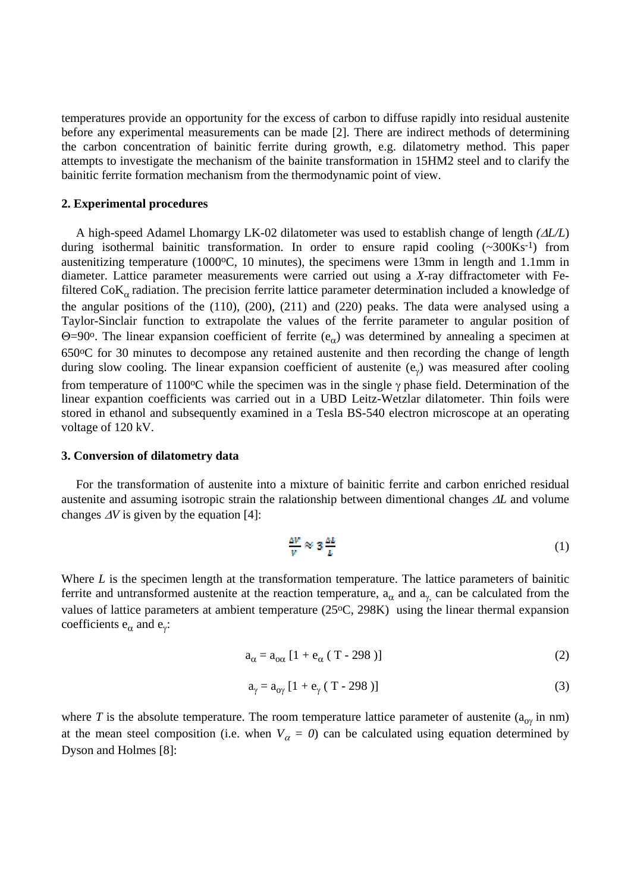temperatures provide an opportunity for the excess of carbon to diffuse rapidly into residual austenite before any experimental measurements can be made [2]. There are indirect methods of determining the carbon concentration of bainitic ferrite during growth, e.g. dilatometry method. This paper attempts to investigate the mechanism of the bainite transformation in 15HM2 steel and to clarify the bainitic ferrite formation mechanism from the thermodynamic point of view.

## **2. Experimental procedures**

A high-speed Adamel Lhomargy LK-02 dilatometer was used to establish change of length *(L/L*) during isothermal bainitic transformation. In order to ensure rapid cooling  $(\sim 300 \text{K s}^{-1})$  from austenitizing temperature (1000°C, 10 minutes), the specimens were 13mm in length and 1.1mm in diameter. Lattice parameter measurements were carried out using a *X*-ray diffractometer with Fefiltered  $\text{CoK}_{\alpha}$  radiation. The precision ferrite lattice parameter determination included a knowledge of the angular positions of the (110), (200), (211) and (220) peaks. The data were analysed using a Taylor-Sinclair function to extrapolate the values of the ferrite parameter to angular position of  $\Theta$ =90°. The linear expansion coefficient of ferrite (e<sub> $\alpha$ </sub>) was determined by annealing a specimen at 650oC for 30 minutes to decompose any retained austenite and then recording the change of length during slow cooling. The linear expansion coefficient of austenite  $(e_{\gamma})$  was measured after cooling from temperature of 1100 $\degree$ C while the specimen was in the single  $\gamma$  phase field. Determination of the linear expantion coefficients was carried out in a UBD Leitz-Wetzlar dilatometer. Thin foils were stored in ethanol and subsequently examined in a Tesla BS-540 electron microscope at an operating voltage of 120 kV.

### **3. Conversion of dilatometry data**

 For the transformation of austenite into a mixture of bainitic ferrite and carbon enriched residual austenite and assuming isotropic strain the ralationship between dimentional changes  $\Delta L$  and volume changes  $\Delta V$  is given by the equation [4]:

$$
\frac{\Delta V}{V} \approx 3 \frac{\Delta L}{L} \tag{1}
$$

Where *L* is the specimen length at the transformation temperature. The lattice parameters of bainitic ferrite and untransformed austenite at the reaction temperature,  $a_{\alpha}$  and  $a_{\gamma}$  can be calculated from the values of lattice parameters at ambient temperature (25°C, 298K) using the linear thermal expansion coefficients  $e_{\alpha}$  and  $e_{\gamma}$ :

$$
a_{\alpha} = a_{\alpha\alpha} \left[ 1 + e_{\alpha} \left( T - 298 \right) \right]
$$
 (2)

$$
a_{\gamma} = a_{0\gamma} [1 + e_{\gamma} (T - 298)]
$$
 (3)

where *T* is the absolute temperature. The room temperature lattice parameter of austenite ( $a_{\alpha}$  in nm) at the mean steel composition (i.e. when  $V_a = 0$ ) can be calculated using equation determined by Dyson and Holmes [8]: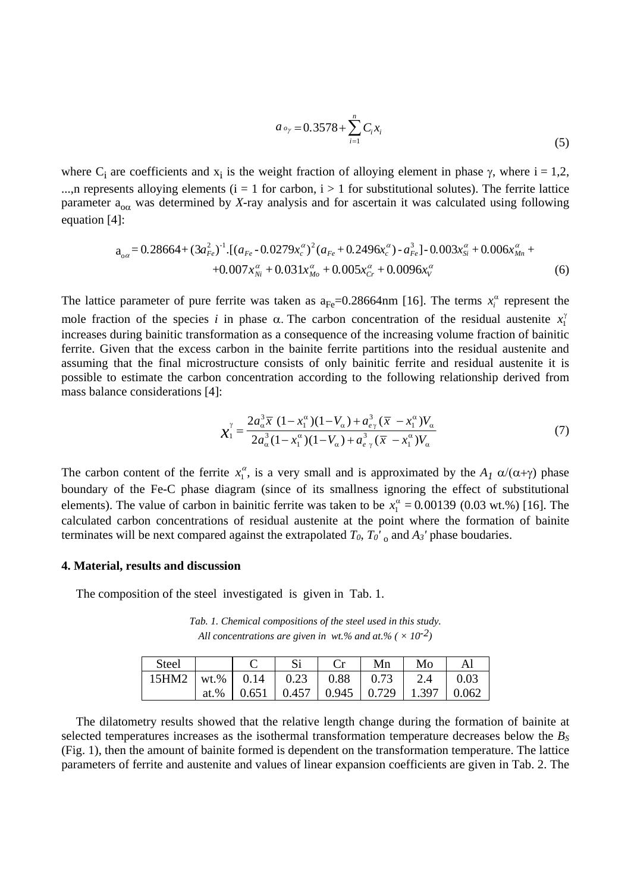$$
a_{o_{\gamma}} = 0.3578 + \sum_{i=1}^{n} C_i x_i
$$
 (5)

where C<sub>i</sub> are coefficients and  $x_i$  is the weight fraction of alloying element in phase  $\gamma$ , where i = 1,2, ...,n represents alloying elements ( $i = 1$  for carbon,  $i > 1$  for substitutional solutes). The ferrite lattice parameter  $a_{\alpha\alpha}$  was determined by *X*-ray analysis and for ascertain it was calculated using following equation [4]:

$$
a_{0\alpha} = 0.28664 + (3a_{Fe}^{2})^{-1} \cdot [(a_{Fe} - 0.0279x_{c}^{\alpha})^{2} (a_{Fe} + 0.2496x_{c}^{\alpha}) - a_{Fe}^{3}] - 0.003x_{Si}^{\alpha} + 0.006x_{Mn}^{\alpha} + 0.007x_{Ni}^{\alpha} + 0.0031x_{Mo}^{\alpha} + 0.005x_{Cr}^{\alpha} + 0.0096x_{V}^{\alpha}
$$
(6)

The lattice parameter of pure ferrite was taken as  $a_{Fe} = 0.28664$  nm [16]. The terms  $x_i^{\alpha}$  represent the mole fraction of the species *i* in phase  $\alpha$ . The carbon concentration of the residual austenite  $x_1^{\gamma}$ increases during bainitic transformation as a consequence of the increasing volume fraction of bainitic ferrite. Given that the excess carbon in the bainite ferrite partitions into the residual austenite and assuming that the final microstructure consists of only bainitic ferrite and residual austenite it is possible to estimate the carbon concentration according to the following relationship derived from mass balance considerations [4]:

$$
\chi_1^{\gamma} = \frac{2a_{\alpha}^3 \overline{x} (1 - x_1^{\alpha})(1 - V_{\alpha}) + a_{e\gamma}^3 (\overline{x} - x_1^{\alpha}) V_{\alpha}}{2a_{\alpha}^3 (1 - x_1^{\alpha})(1 - V_{\alpha}) + a_{e\gamma}^3 (\overline{x} - x_1^{\alpha}) V_{\alpha}}
$$
(7)

The carbon content of the ferrite  $x_1^{\alpha}$ , is a very small and is approximated by the  $A_1 \alpha/(\alpha+\gamma)$  phase boundary of the Fe-C phase diagram (since of its smallness ignoring the effect of substitutional elements). The value of carbon in bainitic ferrite was taken to be  $x_1^{\alpha} = 0.00139$  (0.03 wt.%) [16]. The calculated carbon concentrations of residual austenite at the point where the formation of bainite terminates will be next compared against the extrapolated  $T_0$ ,  $T_0^{\gamma}$  and  $A_3^{\gamma}$  phase boudaries.

## **4. Material, results and discussion**

The composition of the steel investigated is given in Tab. 1.

*Tab. 1. Chemical compositions of the steel used in this study. All concentrations are given in wt.% and at.% (* $\times 10^{-2}$ *)* 

| Steel                                                 |  |                                                      | Mn | Mo | Al |
|-------------------------------------------------------|--|------------------------------------------------------|----|----|----|
| 15HM2   wt.%   0.14   0.23   0.88   0.73   2.4   0.03 |  |                                                      |    |    |    |
|                                                       |  | at.%   0.651   0.457   0.945   0.729   1.397   0.062 |    |    |    |

 The dilatometry results showed that the relative length change during the formation of bainite at selected temperatures increases as the isothermal transformation temperature decreases below the  $B<sub>S</sub>$ (Fig. 1), then the amount of bainite formed is dependent on the transformation temperature. The lattice parameters of ferrite and austenite and values of linear expansion coefficients are given in Tab. 2. The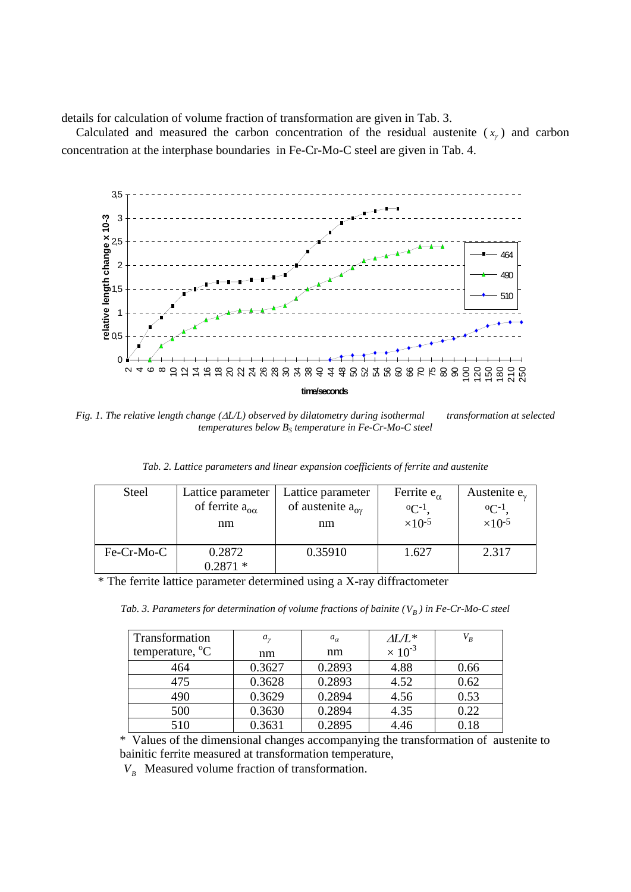details for calculation of volume fraction of transformation are given in Tab. 3.

Calculated and measured the carbon concentration of the residual austenite  $(x<sub>r</sub>)$  and carbon concentration at the interphase boundaries in Fe-Cr-Mo-C steel are given in Tab. 4.



*Fig. 1. The relative length change (L/L) observed by dilatometry during isothermal transformation at selected temperatures below B<sub>S</sub> temperature in Fe-Cr-Mo-C steel* 

| Tab. 2. Lattice parameters and linear expansion coefficients of ferrite and austenite |  |  |  |
|---------------------------------------------------------------------------------------|--|--|--|

| <b>Steel</b> | Lattice parameter             | Lattice parameter               | Ferrite $e_{\alpha}$      | Austenite $e_{\gamma}$    |
|--------------|-------------------------------|---------------------------------|---------------------------|---------------------------|
|              | of ferrite $a_{\alpha\alpha}$ | of austenite $a_{\alpha\gamma}$ | $^{\circ}C^{-1}$          | $^{\rm o}$ C-1            |
|              | nm                            | nm                              | $\times$ 10 <sup>-5</sup> | $\times$ 10 <sup>-5</sup> |
| Fe-Cr-Mo-C   | 0.2872<br>$0.2871*$           | 0.35910                         | 1.627                     | 2.317                     |

\* The ferrite lattice parameter determined using a X-ray diffractometer

*Tab. 3. Parameters for determination of volume fractions of bainite*  $(V_B)$  in Fe-Cr-Mo-C steel

| <b>Transformation</b>    | $a_{\nu}$ | $a_{\alpha}$ | $\Delta L/L^*$            | $V_B$ |
|--------------------------|-----------|--------------|---------------------------|-------|
| temperature, $^{\circ}C$ | nm        | nm           | $\times$ 10 <sup>-3</sup> |       |
| 464                      | 0.3627    | 0.2893       | 4.88                      | 0.66  |
| 475                      | 0.3628    | 0.2893       | 4.52                      | 0.62  |
| 490                      | 0.3629    | 0.2894       | 4.56                      | 0.53  |
| 500                      | 0.3630    | 0.2894       | 4.35                      | 0.22  |
| 510                      | 0.3631    | 0.2895       | 4.46                      | 0.18  |

\* Values of the dimensional changes accompanying the transformation of austenite to bainitic ferrite measured at transformation temperature,

 $V_B$  Measured volume fraction of transformation.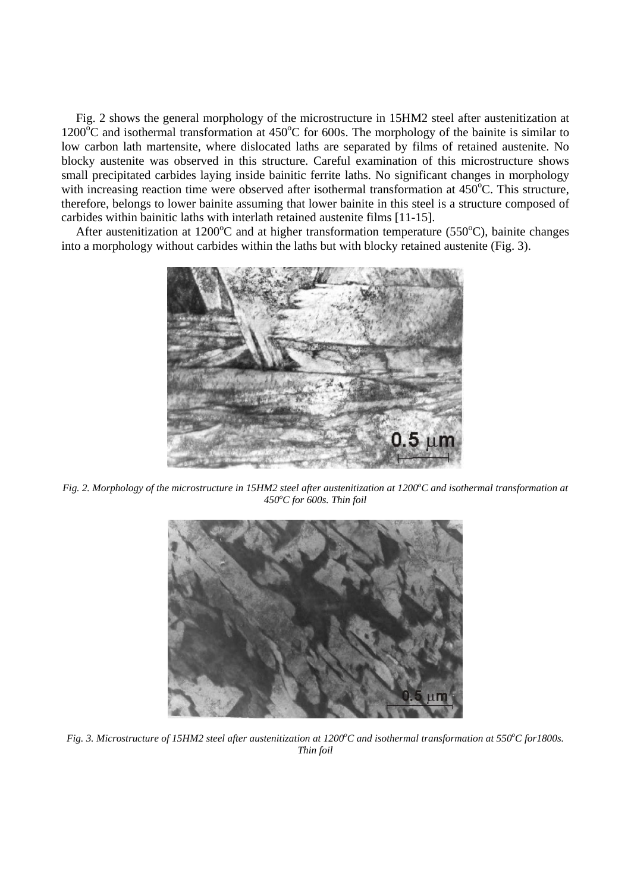Fig. 2 shows the general morphology of the microstructure in 15HM2 steel after austenitization at  $1200^{\circ}$ C and isothermal transformation at 450°C for 600s. The morphology of the bainite is similar to low carbon lath martensite, where dislocated laths are separated by films of retained austenite. No blocky austenite was observed in this structure. Careful examination of this microstructure shows small precipitated carbides laying inside bainitic ferrite laths. No significant changes in morphology with increasing reaction time were observed after isothermal transformation at 450°C. This structure, therefore, belongs to lower bainite assuming that lower bainite in this steel is a structure composed of carbides within bainitic laths with interlath retained austenite films [11-15].

After austenitization at 1200°C and at higher transformation temperature (550°C), bainite changes into a morphology without carbides within the laths but with blocky retained austenite (Fig. 3).



Fig. 2. Morphology of the microstructure in 15HM2 steel after austenitization at 1200°C and isothermal transformation at *450<sup>o</sup> C for 600s. Thin foil* 



*Fig. 3. Microstructure of 15HM2 steel after austenitization at 1200°C and isothermal transformation at 550°C for1800s. Thin foil*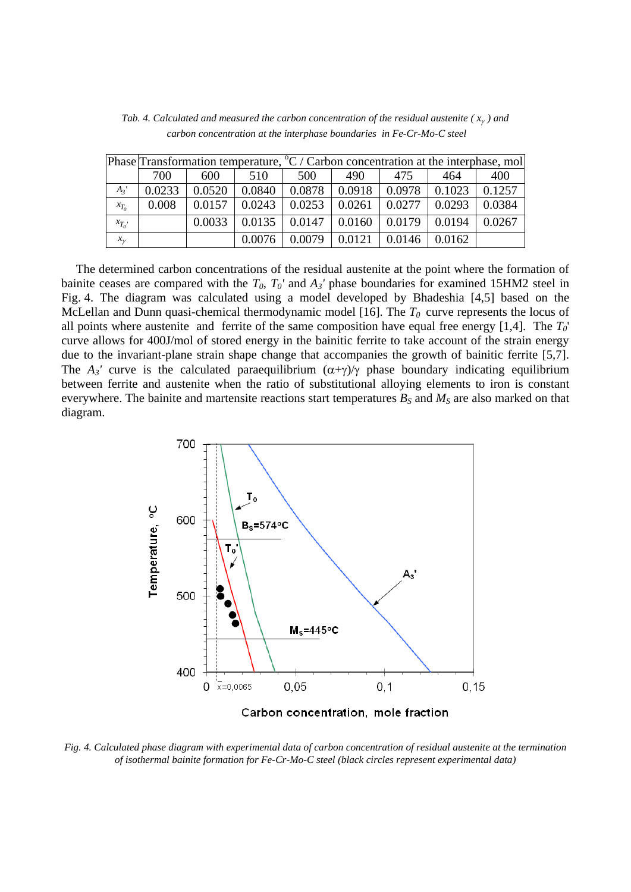|           |        | Phase Transformation temperature, ${}^{\circ}C$ / Carbon concentration at the interphase, mol |        |        |        |        |        |        |
|-----------|--------|-----------------------------------------------------------------------------------------------|--------|--------|--------|--------|--------|--------|
|           | 700    | 600                                                                                           | 510    | 500    | 490    | 475    | 464    | 400    |
| $A_3'$    | 0.0233 | 0.0520                                                                                        | 0.0840 | 0.0878 | 0.0918 | 0.0978 | 0.1023 | 0.1257 |
| $x_{T_0}$ | 0.008  | 0.0157                                                                                        | 0.0243 | 0.0253 | 0.0261 | 0.0277 | 0.0293 | 0.0384 |
| $x_{T_0}$ |        | 0.0033                                                                                        | 0.0135 | 0.0147 | 0.0160 | 0.0179 | 0.0194 | 0.0267 |
| $x_{\nu}$ |        |                                                                                               | 0.0076 | 0.0079 | 0.0121 | 0.0146 | 0.0162 |        |

*Tab. 4. Calculated and measured the carbon concentration of the residual austenite ( x ) and carbon concentration at the interphase boundaries in Fe-Cr-Mo-C steel* 

The determined carbon concentrations of the residual austenite at the point where the formation of bainite ceases are compared with the  $T_0$ ,  $T_0'$  and  $A_3'$  phase boundaries for examined 15HM2 steel in Fig. 4. The diagram was calculated using a model developed by Bhadeshia [4,5] based on the McLellan and Dunn quasi-chemical thermodynamic model [16]. The  $T_0$  curve represents the locus of all points where austenite and ferrite of the same composition have equal free energy [1,4]. The *T0*' curve allows for 400J/mol of stored energy in the bainitic ferrite to take account of the strain energy due to the invariant-plane strain shape change that accompanies the growth of bainitic ferrite [5,7]. The  $A_3$ ' curve is the calculated paraequilibrium  $(\alpha+\gamma)/\gamma$  phase boundary indicating equilibrium between ferrite and austenite when the ratio of substitutional alloying elements to iron is constant everywhere. The bainite and martensite reactions start temperatures  $B_S$  and  $M_S$  are also marked on that diagram.



*Fig. 4. Calculated phase diagram with experimental data of carbon concentration of residual austenite at the termination of isothermal bainite formation for Fe-Cr-Mo-C steel (black circles represent experimental data)*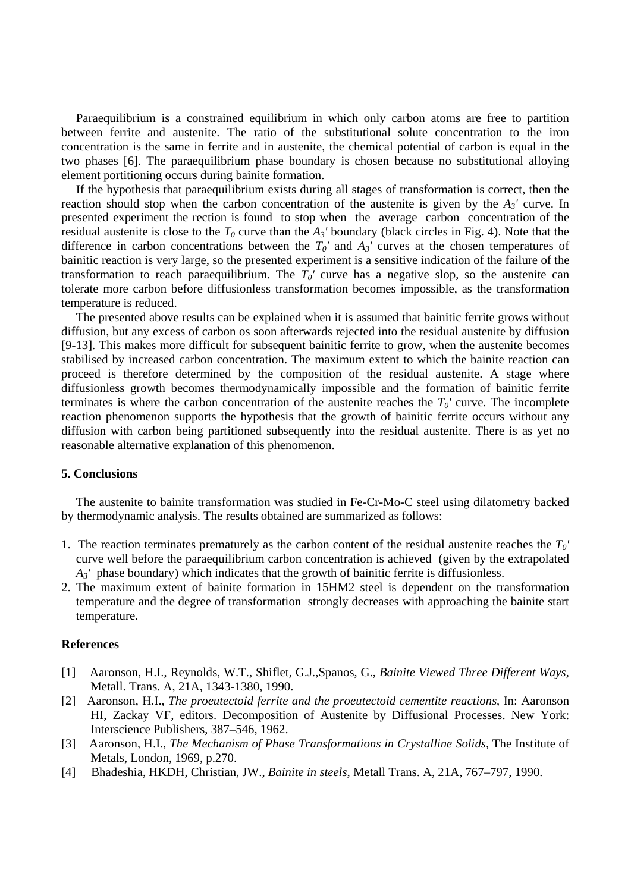Paraequilibrium is a constrained equilibrium in which only carbon atoms are free to partition between ferrite and austenite. The ratio of the substitutional solute concentration to the iron concentration is the same in ferrite and in austenite, the chemical potential of carbon is equal in the two phases [6]. The paraequilibrium phase boundary is chosen because no substitutional alloying element portitioning occurs during bainite formation.

 If the hypothesis that paraequilibrium exists during all stages of transformation is correct, then the reaction should stop when the carbon concentration of the austenite is given by the *A3'* curve. In presented experiment the rection is found to stop when the average carbon concentration of the residual austenite is close to the  $T_0$  curve than the  $A_3$ ' boundary (black circles in Fig. 4). Note that the difference in carbon concentrations between the  $T_0'$  and  $A_3'$  curves at the chosen temperatures of bainitic reaction is very large, so the presented experiment is a sensitive indication of the failure of the transformation to reach paraequilibrium. The  $T_0'$  curve has a negative slop, so the austenite can tolerate more carbon before diffusionless transformation becomes impossible, as the transformation temperature is reduced.

 The presented above results can be explained when it is assumed that bainitic ferrite grows without diffusion, but any excess of carbon os soon afterwards rejected into the residual austenite by diffusion [9-13]. This makes more difficult for subsequent bainitic ferrite to grow, when the austenite becomes stabilised by increased carbon concentration. The maximum extent to which the bainite reaction can proceed is therefore determined by the composition of the residual austenite. A stage where diffusionless growth becomes thermodynamically impossible and the formation of bainitic ferrite terminates is where the carbon concentration of the austenite reaches the  $T_0$ ' curve. The incomplete reaction phenomenon supports the hypothesis that the growth of bainitic ferrite occurs without any diffusion with carbon being partitioned subsequently into the residual austenite. There is as yet no reasonable alternative explanation of this phenomenon.

## **5. Conclusions**

 The austenite to bainite transformation was studied in Fe-Cr-Mo-C steel using dilatometry backed by thermodynamic analysis. The results obtained are summarized as follows:

- 1. The reaction terminates prematurely as the carbon content of the residual austenite reaches the *T0'* curve well before the paraequilibrium carbon concentration is achieved (given by the extrapolated *A3'* phase boundary) which indicates that the growth of bainitic ferrite is diffusionless.
- 2. The maximum extent of bainite formation in 15HM2 steel is dependent on the transformation temperature and the degree of transformation strongly decreases with approaching the bainite start temperature.

## **References**

- [1] Aaronson, H.I., Reynolds, W.T., Shiflet, G.J.,Spanos, G., *Bainite Viewed Three Different Ways*, Metall. Trans. A, 21A, 1343-1380, 1990.
- [2] Aaronson, H.I., *The proeutectoid ferrite and the proeutectoid cementite reactions*, In: Aaronson HI, Zackay VF, editors. Decomposition of Austenite by Diffusional Processes. New York: Interscience Publishers, 387–546, 1962.
- [3] Aaronson, H.I., *The Mechanism of Phase Transformations in Crystalline Solids,* The Institute of Metals, London, 1969, p.270.
- [4] Bhadeshia, HKDH, Christian, JW., *Bainite in steels*, Metall Trans. A, 21A, 767–797, 1990.